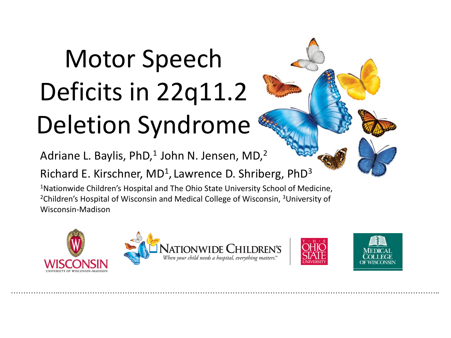# Motor Speech Deficits in 22q11.2 Deletion Syndrome

Adriane L. Baylis, PhD, $1$  John N. Jensen, MD, $2$ 

Richard E. Kirschner,  $MD<sup>1</sup>$ , Lawrence D. Shriberg, PhD<sup>3</sup>

1Nationwide Children's Hospital and The Ohio State University School of Medicine, 2Children's Hospital of Wisconsin and Medical College of Wisconsin, 3University of Wisconsin-Madison

………………..……………………………………………………………………………………………………………………………………..





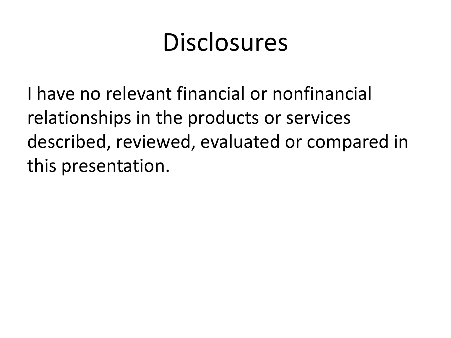#### **Disclosures**

I have no relevant financial or nonfinancial relationships in the products or services described, reviewed, evaluated or compared in this presentation.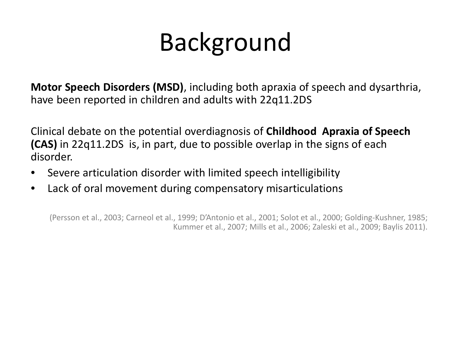# Background

**Motor Speech Disorders (MSD)**, including both apraxia of speech and dysarthria, have been reported in children and adults with 22q11.2DS

Clinical debate on the potential overdiagnosis of **Childhood Apraxia of Speech (CAS)** in 22q11.2DS is, in part, due to possible overlap in the signs of each disorder.

- Severe articulation disorder with limited speech intelligibility
- Lack of oral movement during compensatory misarticulations

(Persson et al., 2003; Carneol et al., 1999; D'Antonio et al., 2001; Solot et al., 2000; Golding-Kushner, 1985; Kummer et al., 2007; Mills et al., 2006; Zaleski et al., 2009; Baylis 2011).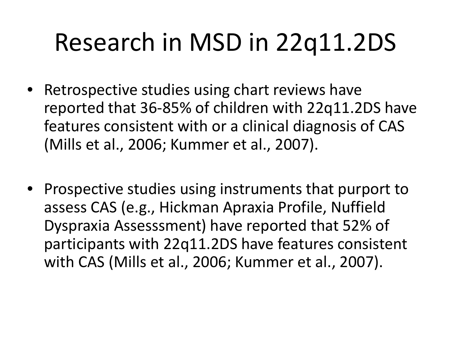# Research in MSD in 22q11.2DS

- Retrospective studies using chart reviews have reported that 36-85% of children with 22q11.2DS have features consistent with or a clinical diagnosis of CAS (Mills et al., 2006; Kummer et al., 2007).
- Prospective studies using instruments that purport to assess CAS (e.g., Hickman Apraxia Profile, Nuffield Dyspraxia Assesssment) have reported that 52% of participants with 22q11.2DS have features consistent with CAS (Mills et al., 2006; Kummer et al., 2007).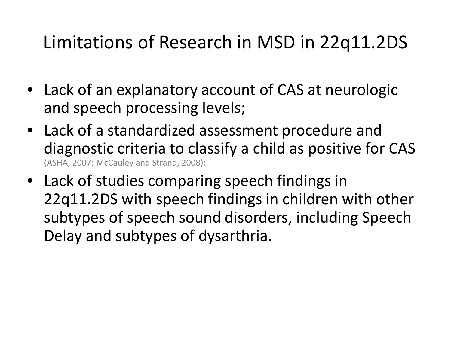#### Limitations of Research in MSD in 22q11.2DS

- Lack of an explanatory account of CAS at neurologic and speech processing levels;
- Lack of a standardized assessment procedure and diagnostic criteria to classify a child as positive for CAS (ASHA, 2007; McCauley and Strand, 2008);
- Lack of studies comparing speech findings in 22q11.2DS with speech findings in children with other subtypes of speech sound disorders, including Speech Delay and subtypes of dysarthria.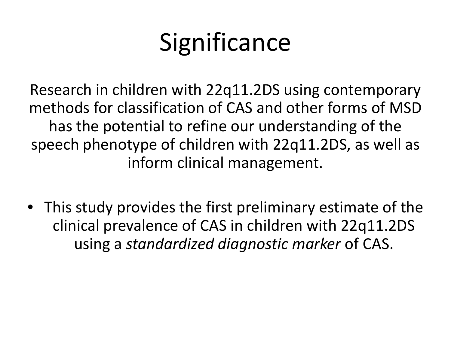# **Significance**

Research in children with 22q11.2DS using contemporary methods for classification of CAS and other forms of MSD has the potential to refine our understanding of the speech phenotype of children with 22q11.2DS, as well as inform clinical management.

• This study provides the first preliminary estimate of the clinical prevalence of CAS in children with 22q11.2DS using a *standardized diagnostic marker* of CAS.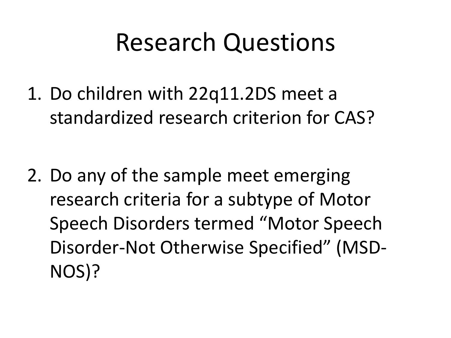#### Research Questions

1. Do children with 22q11.2DS meet a standardized research criterion for CAS?

2. Do any of the sample meet emerging research criteria for a subtype of Motor Speech Disorders termed "Motor Speech Disorder-Not Otherwise Specified" (MSD-NOS)?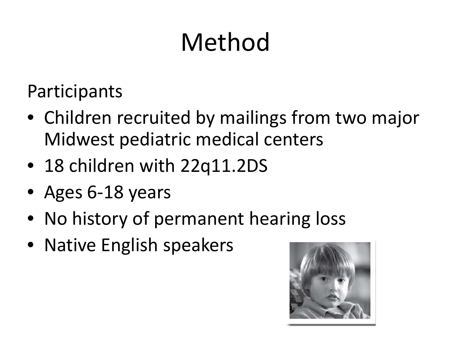# Method

**Participants** 

- Children recruited by mailings from two major Midwest pediatric medical centers
- 18 children with 22q11.2DS
- Ages 6-18 years
- No history of permanent hearing loss
- Native English speakers

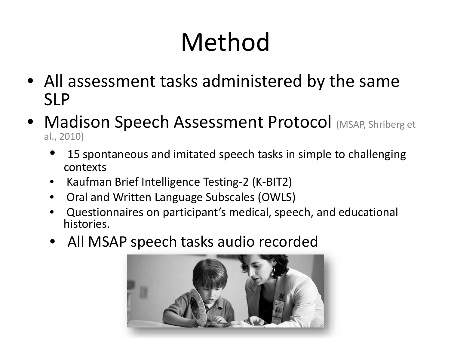# Method

- All assessment tasks administered by the same SLP
- Madison Speech Assessment Protocol (MSAP, Shriberg et al., 2010)
	- 15 spontaneous and imitated speech tasks in simple to challenging contexts
	- Kaufman Brief Intelligence Testing-2 (K-BIT2)
	- Oral and Written Language Subscales (OWLS)
	- Questionnaires on participant's medical, speech, and educational histories.
	- All MSAP speech tasks audio recorded

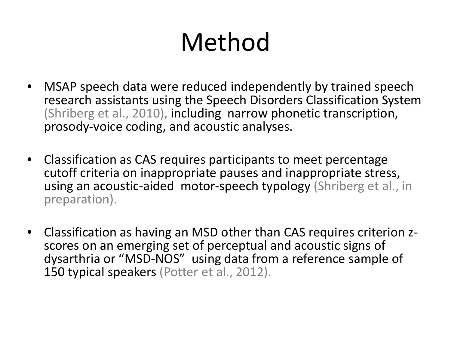# Method

- MSAP speech data were reduced independently by trained speech research assistants using the Speech Disorders Classification System (Shriberg et al., 2010), including narrow phonetic transcription, prosody-voice coding, and acoustic analyses.
- Classification as CAS requires participants to meet percentage cutoff criteria on inappropriate pauses and inappropriate stress, using an acoustic-aided motor-speech typology (Shriberg et al., in preparation).
- Classification as having an MSD other than CAS requires criterion z- scores on an emerging set of perceptual and acoustic signs of dysarthria or "MSD-NOS" using data from a reference sample of 150 typical speakers (Potter et al., 2012).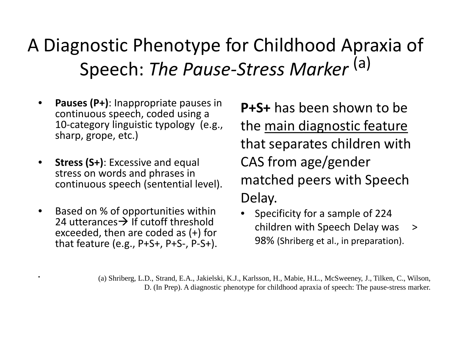#### A Diagnostic Phenotype for Childhood Apraxia of Speech: *The Pause-Stress Marker* (a)

- **Pauses (P+)**: Inappropriate pauses in continuous speech, coded using a 10-category linguistic typology (e.g., sharp, grope, etc.)
- **Stress (S+)**: Excessive and equal stress on words and phrases in continuous speech (sentential level).
- Based on % of opportunities within 24 utterances  $\rightarrow$  If cutoff threshold exceeded, then are coded as (+) for that feature (e.g.,  $P+S+$ ,  $P+S-$ ,  $P-S+$ ).

**P+S+** has been shown to be the main diagnostic feature that separates children with CAS from age/gender matched peers with Speech Delay.

• Specificity for a sample of 224 children with Speech Delay was > 98% (Shriberg et al., in preparation).

• (a) Shriberg, L.D., Strand, E.A., Jakielski, K.J., Karlsson, H., Mabie, H.L., McSweeney, J., Tilken, C., Wilson, D. (In Prep). A diagnostic phenotype for childhood apraxia of speech: The pause-stress marker.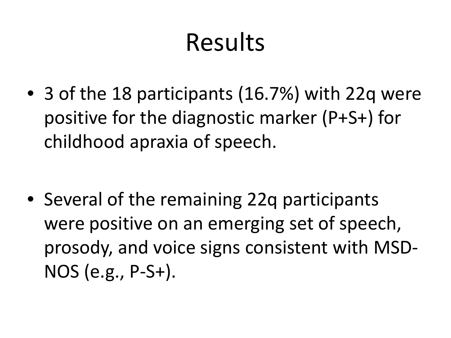## Results

• 3 of the 18 participants (16.7%) with 22q were positive for the diagnostic marker (P+S+) for childhood apraxia of speech.

• Several of the remaining 22q participants were positive on an emerging set of speech, prosody, and voice signs consistent with MSD-NOS (e.g., P-S+).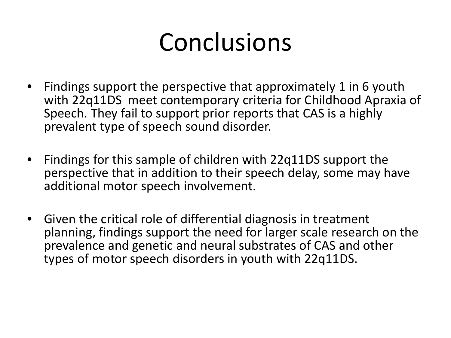### Conclusions

- Findings support the perspective that approximately 1 in 6 youth with 22q11DS meet contemporary criteria for Childhood Apraxia of Speech. They fail to support prior reports that CAS is a highly prevalent type of speech sound disorder.
- Findings for this sample of children with 22q11DS support the perspective that in addition to their speech delay, some may have additional motor speech involvement.
- Given the critical role of differential diagnosis in treatment planning, findings support the need for larger scale research on the prevalence and genetic and neural substrates of CAS and other types of motor speech disorders in youth with 22q11DS.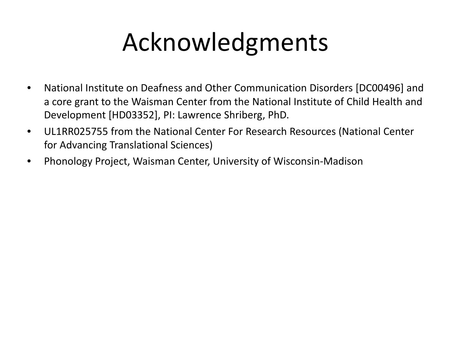# Acknowledgments

- National Institute on Deafness and Other Communication Disorders [DC00496] and a core grant to the Waisman Center from the National Institute of Child Health and Development [HD03352], PI: Lawrence Shriberg, PhD.
- UL1RR025755 from the National Center For Research Resources (National Center for Advancing Translational Sciences)
- Phonology Project, Waisman Center, University of Wisconsin-Madison